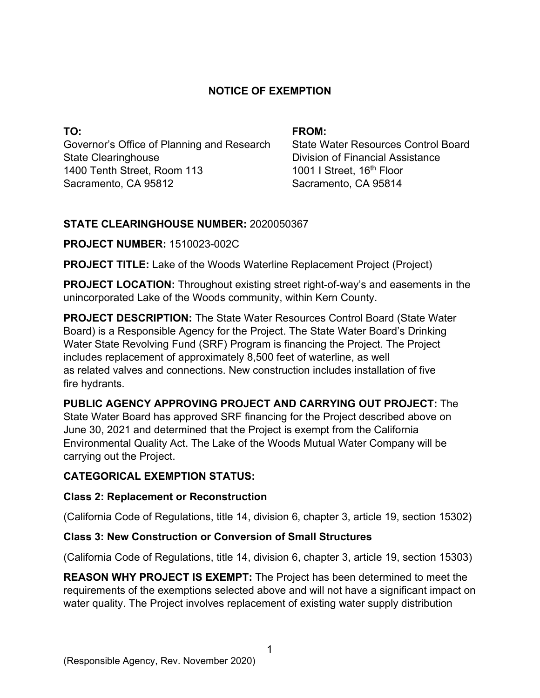## **NOTICE OF EXEMPTION**

**TO:**  Governor's Office of Planning and Research State Clearinghouse 1400 Tenth Street, Room 113 Sacramento, CA 95812

#### **FROM:**

State Water Resources Control Board Division of Financial Assistance 1001 I Street, 16<sup>th</sup> Floor Sacramento, CA 95814

## **STATE CLEARINGHOUSE NUMBER:** 2020050367

#### **PROJECT NUMBER:** 1510023-002C

**PROJECT TITLE:** Lake of the Woods Waterline Replacement Project (Project)

**PROJECT LOCATION:** Throughout existing street right-of-way's and easements in the unincorporated Lake of the Woods community, within Kern County.

**PROJECT DESCRIPTION:** The State Water Resources Control Board (State Water Board) is a Responsible Agency for the Project. The State Water Board's Drinking Water State Revolving Fund (SRF) Program is financing the Project. The Project includes replacement of approximately 8,500 feet of waterline, as well as related valves and connections. New construction includes installation of five fire hydrants.

# **PUBLIC AGENCY APPROVING PROJECT AND CARRYING OUT PROJECT:** The

State Water Board has approved SRF financing for the Project described above on June 30, 2021 and determined that the Project is exempt from the California Environmental Quality Act. The Lake of the Woods Mutual Water Company will be carrying out the Project.

# **CATEGORICAL EXEMPTION STATUS:**

#### **Class 2: Replacement or Reconstruction**

(California Code of Regulations, title 14, division 6, chapter 3, article 19, section 15302)

# **Class 3: New Construction or Conversion of Small Structures**

(California Code of Regulations, title 14, division 6, chapter 3, article 19, section 15303)

**REASON WHY PROJECT IS EXEMPT:** The Project has been determined to meet the requirements of the exemptions selected above and will not have a significant impact on water quality. The Project involves replacement of existing water supply distribution